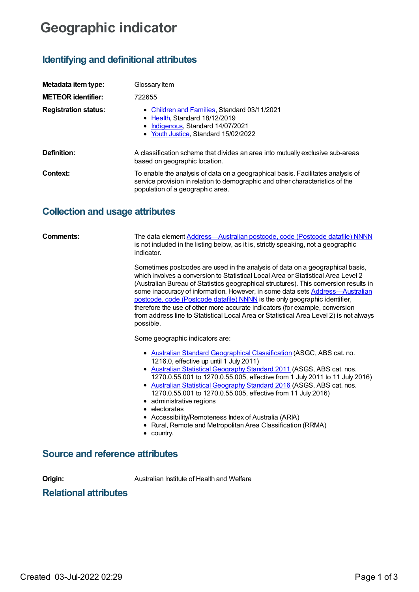# **Geographic indicator**

# **Identifying and definitional attributes**

| Metadata item type:         | Glossary Item                                                                                                                                                                                        |
|-----------------------------|------------------------------------------------------------------------------------------------------------------------------------------------------------------------------------------------------|
| <b>METEOR identifier:</b>   | 722655                                                                                                                                                                                               |
| <b>Registration status:</b> | • Children and Families, Standard 03/11/2021<br>• Health Standard 18/12/2019<br>• Indigenous, Standard 14/07/2021<br>• Youth Justice, Standard 15/02/2022                                            |
| Definition:                 | A classification scheme that divides an area into mutually exclusive sub-areas<br>based on geographic location.                                                                                      |
| Context:                    | To enable the analysis of data on a geographical basis. Facilitates analysis of<br>service provision in relation to demographic and other characteristics of the<br>population of a geographic area. |

## **Collection and usage attributes**

| Comments:                       | The data element Address-Australian postcode, code (Postcode datafile) NNNN<br>is not included in the listing below, as it is, strictly speaking, not a geographic<br>indicator.                                                                                                                                                                                                                                                                                                                                                                                                                                  |
|---------------------------------|-------------------------------------------------------------------------------------------------------------------------------------------------------------------------------------------------------------------------------------------------------------------------------------------------------------------------------------------------------------------------------------------------------------------------------------------------------------------------------------------------------------------------------------------------------------------------------------------------------------------|
|                                 | Sometimes postcodes are used in the analysis of data on a geographical basis,<br>which involves a conversion to Statistical Local Area or Statistical Area Level 2<br>(Australian Bureau of Statistics geographical structures). This conversion results in<br>some inaccuracy of information. However, in some data sets Address-Australian<br>postcode, code (Postcode datafile) NNNN is the only geographic identifier,<br>therefore the use of other more accurate indicators (for example, conversion<br>from address line to Statistical Local Area or Statistical Area Level 2) is not always<br>possible. |
|                                 | Some geographic indicators are:                                                                                                                                                                                                                                                                                                                                                                                                                                                                                                                                                                                   |
|                                 | • Australian Standard Geographical Classification (ASGC, ABS cat. no.<br>1216.0, effective up until 1 July 2011)<br>• Australian Statistical Geography Standard 2011 (ASGS, ABS cat. nos.<br>1270.0.55.001 to 1270.0.55.005, effective from 1 July 2011 to 11 July 2016)<br>• Australian Statistical Geography Standard 2016 (ASGS, ABS cat. nos.<br>1270.0.55.001 to 1270.0.55.005, effective from 11 July 2016)<br>• administrative regions<br>• electorates<br>• Accessibility/Remoteness Index of Australia (ARIA)<br>• Rural, Remote and Metropolitan Area Classification (RRMA)<br>$\bullet$ country.       |
| Source and reference attributes |                                                                                                                                                                                                                                                                                                                                                                                                                                                                                                                                                                                                                   |

**Origin:** Australian Institute of Health and Welfare

### **Relational attributes**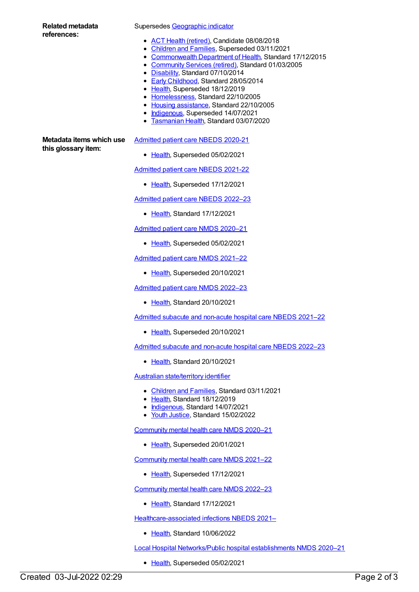#### **Related metadata references:**

Supersedes [Geographic](https://meteor.aihw.gov.au/content/327306) indicator

- ACT Health [\(retired\)](https://meteor.aihw.gov.au/RegistrationAuthority/9), Candidate 08/08/2018
- [Children](https://meteor.aihw.gov.au/RegistrationAuthority/17) and Families, Superseded 03/11/2021
- [Commonwealth](https://meteor.aihw.gov.au/RegistrationAuthority/10) Department of Health, Standard 17/12/2015
- [Community](https://meteor.aihw.gov.au/RegistrationAuthority/1) Services (retired), Standard 01/03/2005
- [Disability](https://meteor.aihw.gov.au/RegistrationAuthority/16), Standard 07/10/2014
- Early [Childhood](https://meteor.aihw.gov.au/RegistrationAuthority/13), Standard 28/05/2014
- [Health](https://meteor.aihw.gov.au/RegistrationAuthority/12), Superseded 18/12/2019
- [Homelessness](https://meteor.aihw.gov.au/RegistrationAuthority/14), Standard 22/10/2005
- Housing [assistance](https://meteor.aihw.gov.au/RegistrationAuthority/11), Standard 22/10/2005
- [Indigenous](https://meteor.aihw.gov.au/RegistrationAuthority/6), Superseded 14/07/2021
- [Tasmanian](https://meteor.aihw.gov.au/RegistrationAuthority/15) Health, Standard 03/07/2020

**Metadata items which use this glossary item:**

### [Admitted](https://meteor.aihw.gov.au/content/715998) patient care NBEDS 2020-21

• [Health](https://meteor.aihw.gov.au/RegistrationAuthority/12), Superseded 05/02/2021

[Admitted](https://meteor.aihw.gov.au/content/728441) patient care NBEDS 2021-22

[Health](https://meteor.aihw.gov.au/RegistrationAuthority/12), Superseded 17/12/2021

[Admitted](https://meteor.aihw.gov.au/content/742171) patient care NBEDS 2022–23

• [Health](https://meteor.aihw.gov.au/RegistrationAuthority/12), Standard 17/12/2021

[Admitted](https://meteor.aihw.gov.au/content/713850) patient care NMDS 2020–21

• [Health](https://meteor.aihw.gov.au/RegistrationAuthority/12), Superseded 05/02/2021

[Admitted](https://meteor.aihw.gov.au/content/728439) patient care NMDS 2021–22

• [Health](https://meteor.aihw.gov.au/RegistrationAuthority/12), Superseded 20/10/2021

[Admitted](https://meteor.aihw.gov.au/content/742173) patient care NMDS 2022–23

• [Health](https://meteor.aihw.gov.au/RegistrationAuthority/12), Standard 20/10/2021

Admitted subacute and [non-acute](https://meteor.aihw.gov.au/content/727327) hospital care NBEDS 2021–22

• [Health](https://meteor.aihw.gov.au/RegistrationAuthority/12), Superseded 20/10/2021

Admitted subacute and [non-acute](https://meteor.aihw.gov.au/content/742177) hospital care NBEDS 2022–23

● [Health](https://meteor.aihw.gov.au/RegistrationAuthority/12), Standard 20/10/2021

Australian [state/territory](https://meteor.aihw.gov.au/content/722657) identifier

- [Children](https://meteor.aihw.gov.au/RegistrationAuthority/17) and Families, Standard 03/11/2021
- [Health](https://meteor.aihw.gov.au/RegistrationAuthority/12), Standard 18/12/2019
- [Indigenous](https://meteor.aihw.gov.au/RegistrationAuthority/6), Standard 14/07/2021
- Youth [Justice](https://meteor.aihw.gov.au/RegistrationAuthority/4), Standard 15/02/2022

[Community](https://meteor.aihw.gov.au/content/722221) mental health care NMDS 2020–21

• [Health](https://meteor.aihw.gov.au/RegistrationAuthority/12), Superseded 20/01/2021

[Community](https://meteor.aihw.gov.au/content/727348) mental health care NMDS 2021–22

• [Health](https://meteor.aihw.gov.au/RegistrationAuthority/12), Superseded 17/12/2021

[Community](https://meteor.aihw.gov.au/content/742040) mental health care NMDS 2022–23

• [Health](https://meteor.aihw.gov.au/RegistrationAuthority/12), Standard 17/12/2021

[Healthcare-associated](https://meteor.aihw.gov.au/content/751510) infections NBEDS 2021–

[Health](https://meteor.aihw.gov.au/RegistrationAuthority/12), Standard 10/06/2022

Local Hospital [Networks/Public](https://meteor.aihw.gov.au/content/713848) hospital establishments NMDS 2020–21

• [Health](https://meteor.aihw.gov.au/RegistrationAuthority/12), Superseded 05/02/2021